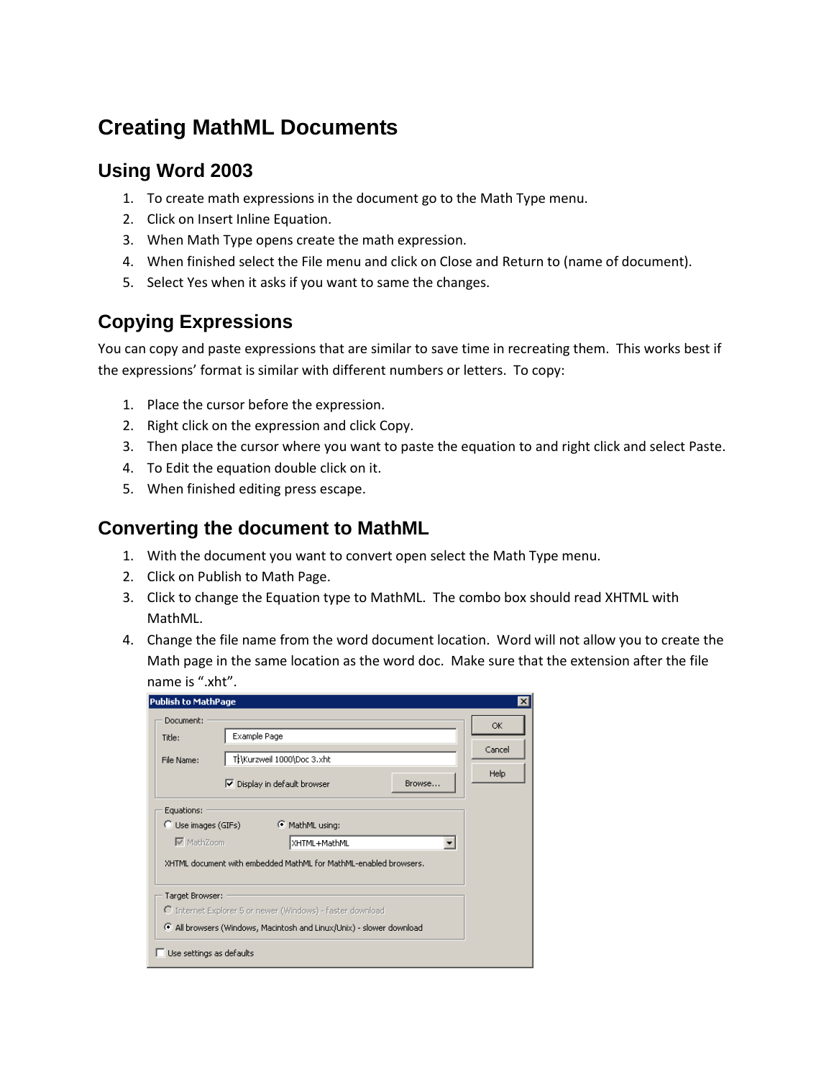# **Creating MathML Documents**

## **Using Word 2003**

- 1. To create math expressions in the document go to the Math Type menu.
- 2. Click on Insert Inline Equation.
- 3. When Math Type opens create the math expression.
- 4. When finished select the File menu and click on Close and Return to (name of document).
- 5. Select Yes when it asks if you want to same the changes.

# **Copying Expressions**

You can copy and paste expressions that are similar to save time in recreating them. This works best if the expressions' format is similar with different numbers or letters. To copy:

- 1. Place the cursor before the expression.
- 2. Right click on the expression and click Copy.
- 3. Then place the cursor where you want to paste the equation to and right click and select Paste.
- 4. To Edit the equation double click on it.
- 5. When finished editing press escape.

#### **Converting the document to MathML**

- 1. With the document you want to convert open select the Math Type menu.
- 2. Click on Publish to Math Page.
- 3. Click to change the Equation type to MathML. The combo box should read XHTML with MathML.
- 4. Change the file name from the word document location. Word will not allow you to create the Math page in the same location as the word doc. Make sure that the extension after the file name is ".xht".

| <b>Publish to MathPage</b> |                                                                  | $\vert x \vert$ |
|----------------------------|------------------------------------------------------------------|-----------------|
| Document:                  |                                                                  | ΟK.             |
| Title:                     | Example Page                                                     |                 |
| File Name:                 | THKurzweil 1000\Doc 3.xht                                        | Cancel          |
|                            | Browse<br>Ⅳ Display in default browser                           | Help            |
| Equations:                 |                                                                  |                 |
| C Use images (GIFs)        | C MathML using:                                                  |                 |
| <b>▽</b> MathZoom          | XHTML+MathML                                                     |                 |
|                            | XHTML document with embedded MathML for MathML-enabled browsers. |                 |
| Target Browser:            |                                                                  |                 |
|                            | C Internet Explorer 5 or newer (Windows) - faster download       |                 |
|                            |                                                                  |                 |